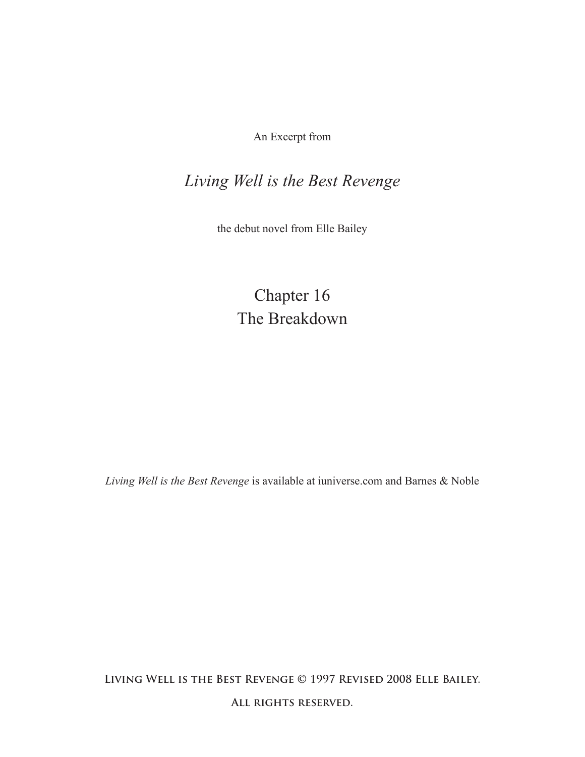An Excerpt from

## *Living Well is the Best Revenge*

the debut novel from Elle Bailey

Chapter 16 The Breakdown

*Living Well is the Best Revenge* is available at iuniverse.com and Barnes & Noble

**Living Well is the Best Revenge © 1997 Revised 2008 Elle Bailey.** 

**All rights reserved.**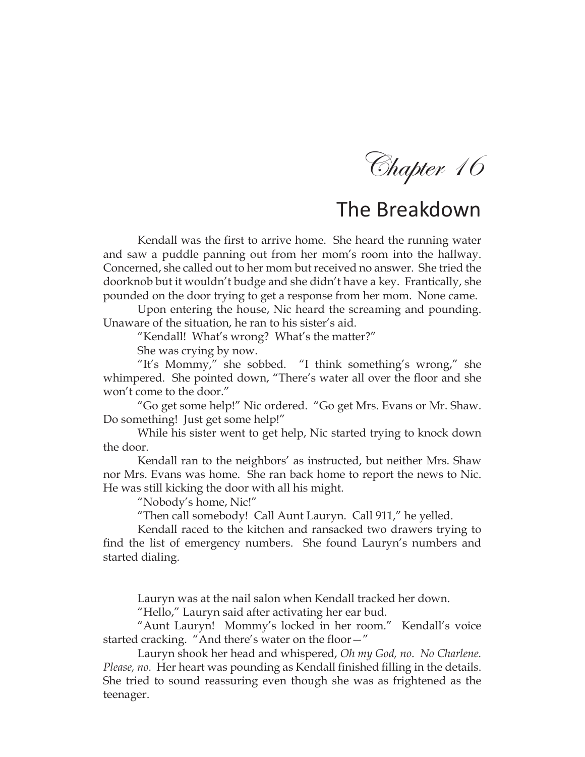Chapter 16

## The Breakdown

Kendall was the first to arrive home. She heard the running water and saw a puddle panning out from her mom's room into the hallway. Concerned, she called out to her mom but received no answer. She tried the doorknob but it wouldn't budge and she didn't have a key. Frantically, she pounded on the door trying to get a response from her mom. None came.

Upon entering the house, Nic heard the screaming and pounding. Unaware of the situation, he ran to his sister's aid.

"Kendall! What's wrong? What's the matter?"

She was crying by now.

"It's Mommy," she sobbed. "I think something's wrong," she whimpered. She pointed down, "There's water all over the floor and she won't come to the door."

"Go get some help!" Nic ordered. "Go get Mrs. Evans or Mr. Shaw. Do something! Just get some help!"

While his sister went to get help, Nic started trying to knock down the door.

Kendall ran to the neighbors' as instructed, but neither Mrs. Shaw nor Mrs. Evans was home. She ran back home to report the news to Nic. He was still kicking the door with all his might.

"Nobody's home, Nic!"

"Then call somebody! Call Aunt Lauryn. Call 911," he yelled.

Kendall raced to the kitchen and ransacked two drawers trying to find the list of emergency numbers. She found Lauryn's numbers and started dialing.

Lauryn was at the nail salon when Kendall tracked her down.

"Hello," Lauryn said after activating her ear bud.

"Aunt Lauryn! Mommy's locked in her room." Kendall's voice started cracking. "And there's water on the floor—"

Lauryn shook her head and whispered, *Oh my God, no*. *No Charlene. Please, no.* Her heart was pounding as Kendall finished filling in the details. She tried to sound reassuring even though she was as frightened as the teenager.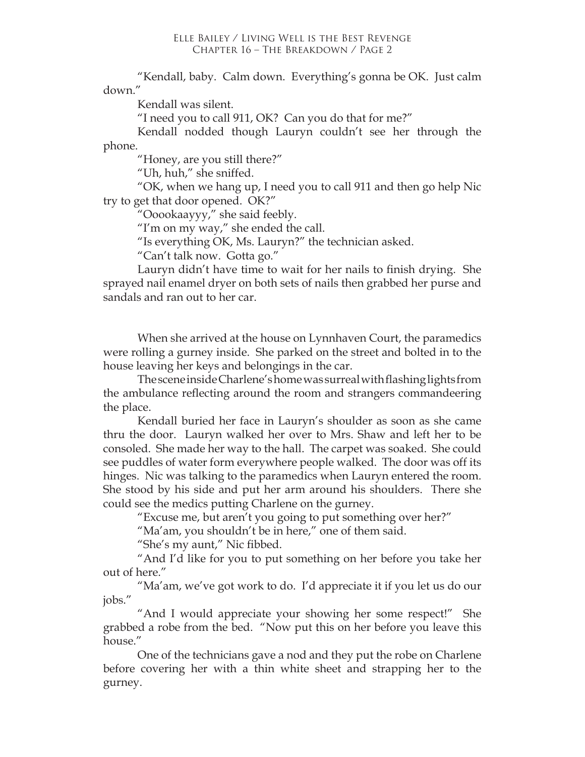"Kendall, baby. Calm down. Everything's gonna be OK. Just calm down."

Kendall was silent.

"I need you to call 911, OK? Can you do that for me?"

Kendall nodded though Lauryn couldn't see her through the phone.

"Honey, are you still there?"

"Uh, huh," she sniffed.

"OK, when we hang up, I need you to call 911 and then go help Nic try to get that door opened. OK?"

"Ooookaayyy," she said feebly.

"I'm on my way," she ended the call.

"Is everything OK, Ms. Lauryn?" the technician asked.

"Can't talk now. Gotta go."

Lauryn didn't have time to wait for her nails to finish drying. She sprayed nail enamel dryer on both sets of nails then grabbed her purse and sandals and ran out to her car.

When she arrived at the house on Lynnhaven Court, the paramedics were rolling a gurney inside. She parked on the street and bolted in to the house leaving her keys and belongings in the car.

The scene inside Charlene's home was surreal with flashing lights from the ambulance reflecting around the room and strangers commandeering the place.

Kendall buried her face in Lauryn's shoulder as soon as she came thru the door. Lauryn walked her over to Mrs. Shaw and left her to be consoled. She made her way to the hall. The carpet was soaked. She could see puddles of water form everywhere people walked. The door was off its hinges. Nic was talking to the paramedics when Lauryn entered the room. She stood by his side and put her arm around his shoulders. There she could see the medics putting Charlene on the gurney.

"Excuse me, but aren't you going to put something over her?"

"Ma'am, you shouldn't be in here," one of them said.

"She's my aunt," Nic fibbed.

"And I'd like for you to put something on her before you take her out of here."

"Ma'am, we've got work to do. I'd appreciate it if you let us do our jobs."

"And I would appreciate your showing her some respect!" She grabbed a robe from the bed. "Now put this on her before you leave this house."

One of the technicians gave a nod and they put the robe on Charlene before covering her with a thin white sheet and strapping her to the gurney.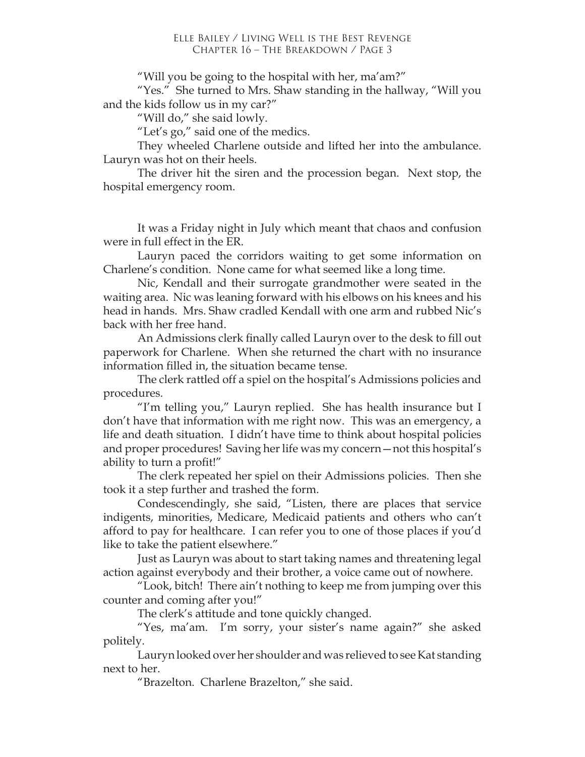"Will you be going to the hospital with her, ma'am?"

"Yes." She turned to Mrs. Shaw standing in the hallway, "Will you and the kids follow us in my car?"

"Will do," she said lowly.

"Let's go," said one of the medics.

They wheeled Charlene outside and lifted her into the ambulance. Lauryn was hot on their heels.

The driver hit the siren and the procession began. Next stop, the hospital emergency room.

It was a Friday night in July which meant that chaos and confusion were in full effect in the ER.

Lauryn paced the corridors waiting to get some information on Charlene's condition. None came for what seemed like a long time.

Nic, Kendall and their surrogate grandmother were seated in the waiting area. Nic was leaning forward with his elbows on his knees and his head in hands. Mrs. Shaw cradled Kendall with one arm and rubbed Nic's back with her free hand.

An Admissions clerk finally called Lauryn over to the desk to fill out paperwork for Charlene. When she returned the chart with no insurance information filled in, the situation became tense.

The clerk rattled off a spiel on the hospital's Admissions policies and procedures.

"I'm telling you," Lauryn replied. She has health insurance but I don't have that information with me right now. This was an emergency, a life and death situation. I didn't have time to think about hospital policies and proper procedures! Saving her life was my concern—not this hospital's ability to turn a profit!"

The clerk repeated her spiel on their Admissions policies. Then she took it a step further and trashed the form.

Condescendingly, she said, "Listen, there are places that service indigents, minorities, Medicare, Medicaid patients and others who can't afford to pay for healthcare. I can refer you to one of those places if you'd like to take the patient elsewhere."

Just as Lauryn was about to start taking names and threatening legal action against everybody and their brother, a voice came out of nowhere.

"Look, bitch! There ain't nothing to keep me from jumping over this counter and coming after you!"

The clerk's attitude and tone quickly changed.

"Yes, ma'am. I'm sorry, your sister's name again?" she asked politely.

Lauryn looked over her shoulder and was relieved to see Kat standing next to her.

"Brazelton. Charlene Brazelton," she said.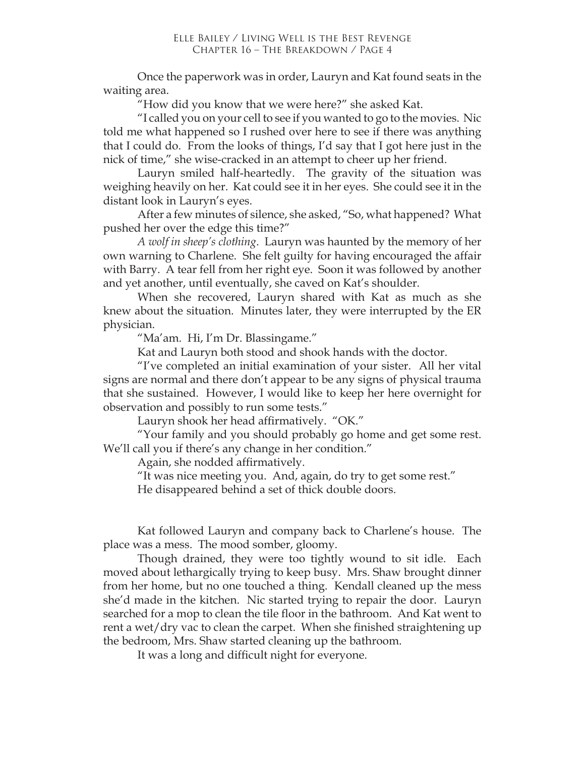Once the paperwork was in order, Lauryn and Kat found seats in the waiting area.

"How did you know that we were here?" she asked Kat.

"I called you on your cell to see if you wanted to go to the movies. Nic told me what happened so I rushed over here to see if there was anything that I could do. From the looks of things, I'd say that I got here just in the nick of time," she wise-cracked in an attempt to cheer up her friend.

Lauryn smiled half-heartedly. The gravity of the situation was weighing heavily on her. Kat could see it in her eyes. She could see it in the distant look in Lauryn's eyes.

After a few minutes of silence, she asked, "So, what happened? What pushed her over the edge this time?"

*A wolf in sheep's clothing*. Lauryn was haunted by the memory of her own warning to Charlene. She felt guilty for having encouraged the affair with Barry. A tear fell from her right eye. Soon it was followed by another and yet another, until eventually, she caved on Kat's shoulder.

When she recovered, Lauryn shared with Kat as much as she knew about the situation. Minutes later, they were interrupted by the ER physician.

"Ma'am. Hi, I'm Dr. Blassingame."

Kat and Lauryn both stood and shook hands with the doctor.

"I've completed an initial examination of your sister. All her vital signs are normal and there don't appear to be any signs of physical trauma that she sustained. However, I would like to keep her here overnight for observation and possibly to run some tests."

Lauryn shook her head affirmatively. "OK."

"Your family and you should probably go home and get some rest. We'll call you if there's any change in her condition."

Again, she nodded affirmatively.

"It was nice meeting you. And, again, do try to get some rest."

He disappeared behind a set of thick double doors.

Kat followed Lauryn and company back to Charlene's house. The place was a mess. The mood somber, gloomy.

Though drained, they were too tightly wound to sit idle. Each moved about lethargically trying to keep busy. Mrs. Shaw brought dinner from her home, but no one touched a thing. Kendall cleaned up the mess she'd made in the kitchen. Nic started trying to repair the door. Lauryn searched for a mop to clean the tile floor in the bathroom. And Kat went to rent a wet/dry vac to clean the carpet. When she finished straightening up the bedroom, Mrs. Shaw started cleaning up the bathroom.

It was a long and difficult night for everyone.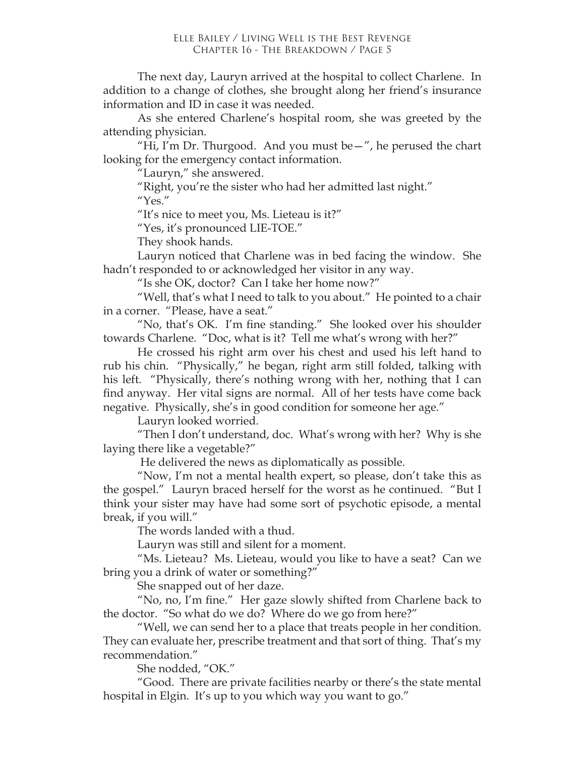The next day, Lauryn arrived at the hospital to collect Charlene. In addition to a change of clothes, she brought along her friend's insurance information and ID in case it was needed.

As she entered Charlene's hospital room, she was greeted by the attending physician.

"Hi, I'm Dr. Thurgood. And you must be $-\pi$ , he perused the chart looking for the emergency contact information.

"Lauryn," she answered.

"Right, you're the sister who had her admitted last night." "Yes."

"It's nice to meet you, Ms. Lieteau is it?"

"Yes, it's pronounced LIE-TOE."

They shook hands.

Lauryn noticed that Charlene was in bed facing the window. She hadn't responded to or acknowledged her visitor in any way.

"Is she OK, doctor? Can I take her home now?"

"Well, that's what I need to talk to you about." He pointed to a chair in a corner. "Please, have a seat."

"No, that's OK. I'm fine standing." She looked over his shoulder towards Charlene. "Doc, what is it? Tell me what's wrong with her?"

He crossed his right arm over his chest and used his left hand to rub his chin. "Physically," he began, right arm still folded, talking with his left. "Physically, there's nothing wrong with her, nothing that I can find anyway. Her vital signs are normal. All of her tests have come back negative. Physically, she's in good condition for someone her age."

Lauryn looked worried.

"Then I don't understand, doc. What's wrong with her? Why is she laying there like a vegetable?"

He delivered the news as diplomatically as possible.

"Now, I'm not a mental health expert, so please, don't take this as the gospel." Lauryn braced herself for the worst as he continued. "But I think your sister may have had some sort of psychotic episode, a mental break, if you will."

The words landed with a thud.

Lauryn was still and silent for a moment.

"Ms. Lieteau? Ms. Lieteau, would you like to have a seat? Can we bring you a drink of water or something?"

She snapped out of her daze.

"No, no, I'm fine." Her gaze slowly shifted from Charlene back to the doctor. "So what do we do? Where do we go from here?"

"Well, we can send her to a place that treats people in her condition. They can evaluate her, prescribe treatment and that sort of thing. That's my recommendation."

She nodded, "OK."

"Good. There are private facilities nearby or there's the state mental hospital in Elgin. It's up to you which way you want to go."